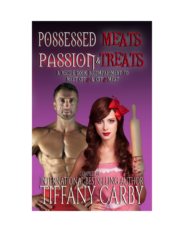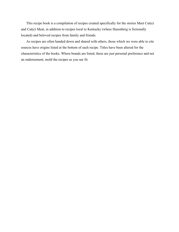This recipe book is a compilation of recipes created specifically for the stories Meet Cut(e) and Cut(e) Meat, in addition to recipes local to Kentucky (where Hazenberg is fictionally located) and beloved recipes from family and friends.

As recipes are often handed down and shared with others, those which we were able to cite sources have origins listed at the bottom of each recipe. Titles have been altered for the characteristics of the books. Where brands are listed, these are just personal preference and not an endorsement; mold the recipes as you see fit.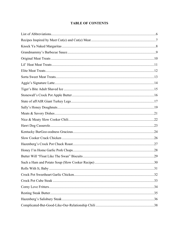# **TABLE OF CONTENTS**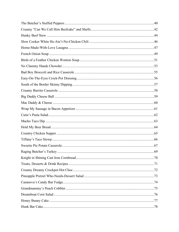| 69 |  |
|----|--|
|    |  |
|    |  |
|    |  |
|    |  |
|    |  |
|    |  |
|    |  |
|    |  |
|    |  |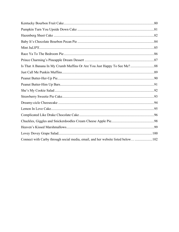| Connect with Carby through social media, email, and her website listed below  102 |  |
|-----------------------------------------------------------------------------------|--|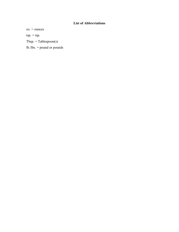# **List of Abbreviations**

<span id="page-5-0"></span>oz. = ounces

 $tsp. = tsp.$ 

Tbsp. = Tablespoon(s)

lb./lbs. = pound or pounds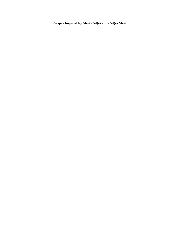<span id="page-6-0"></span>**Recipes Inspired by Meet Cut(e) and Cut(e) Meat**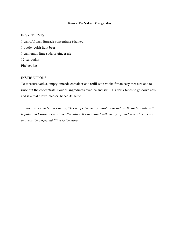### **Knock Ya Naked Margaritas**

### <span id="page-7-0"></span>INGREDIENTS

1 can of frozen limeade concentrate (thawed) 1 bottle (cold) light beer 1 can lemon lime soda or ginger ale 12 oz. vodka Pitcher, ice

### **INSTRUCTIONS**

To measure vodka, empty limeade container and refill with vodka for an easy measure and to rinse out the concentrate. Pour all ingredients over ice and stir. This drink tends to go down easy and is a real crowd pleaser, hence its name…

*Source: Friends and Family; This recipe has many adaptations online. It can be made with tequila and Corona beer as an alternative. It was shared with me by a friend several years ago and was the perfect addition to the story.*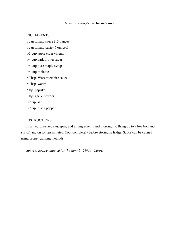# **Grandmammy's Barbecue Sauce**

## <span id="page-8-0"></span>INGREDIENTS

1 can tomato sauce (15 ounces) 1 can tomato paste (6 ounces) 1/3 cup apple cider vinegar 1/4 cup dark brown sugar 1/4 cup pure maple syrup 1/4 cup molasses 2 Tbsp. Worcestershire sauce 2 Tbsp. water 2 tsp. paprika 1 tsp. garlic powder 1/2 tsp. salt 1/2 tsp. black pepper

## **INSTRUCTIONS**

In a medium-sized saucepan, add all ingredients and thoroughly. Bring up to a low boil and stir off and on for ten minutes. Cool completely before storing in fridge. Sauce can be canned using proper canning methods.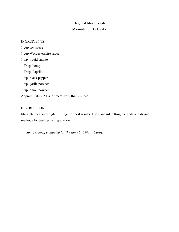# **Original Meat Treats**

Marinade for Beef Jerky

### <span id="page-9-0"></span>INGREDIENTS

1 cup soy sauce 1 cup Worcestershire sauce 1 tsp. liquid smoke 1 Tbsp. honey 1 Tbsp. Paprika 1 tsp. black pepper 1 tsp. garlic powder 1 tsp. onion powder Approximately 2 lbs. of meat, very thinly sliced

## **INSTRUCTIONS**

Marinate meat overnight in fridge for best results. Use standard cutting methods and drying methods for beef jerky preparation.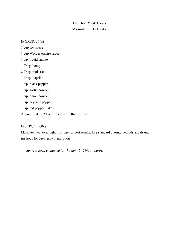# **Lil' Heat Meat Treats**

Marinade for Beef Jerky

### <span id="page-10-0"></span>INGREDIENTS

1 cup soy sauce 1 cup Worcestershire sauce 1 tsp. liquid smoke 1 Tbsp. honey 2 Tbsp. molasses 1 Tbsp. Paprika 1 tsp. black pepper 1 tsp. garlic powder 1 tsp. onion powder 1 tsp. cayenne pepper 1 tsp. red pepper flakes Approximately 2 lbs. of meat, very thinly sliced

## **INSTRUCTIONS**

Marinate meat overnight in fridge for best results. Use standard cutting methods and drying methods for beef jerky preparation.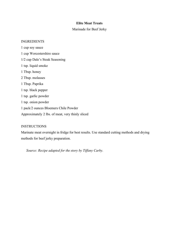# **Elite Meat Treats**

# Marinade for Beef Jerky

### <span id="page-11-0"></span>INGREDIENTS

1 cup soy sauce 1 cup Worcestershire sauce 1/2 cup Dale's Steak Seasoning 1 tsp. liquid smoke 1 Tbsp. honey 2 Tbsp. molasses 1 Tbsp. Paprika 1 tsp. black pepper 1 tsp. garlic powder 1 tsp. onion powder 1 pack/2 ounces Bloemers Chile Powder Approximately 2 lbs. of meat, very thinly sliced

## **INSTRUCTIONS**

Marinate meat overnight in fridge for best results. Use standard cutting methods and drying methods for beef jerky preparation.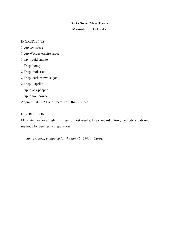# **Sorta Sweet Meat Treats**

Marinade for Beef Jerky

### <span id="page-12-0"></span>INGREDIENTS

1 cup soy sauce 1 cup Worcestershire sauce 1 tsp. liquid smoke 1 Tbsp. honey 2 Tbsp. molasses 2 Tbsp. dark brown sugar 2 Tbsp. Paprika 1 tsp. black pepper 1 tsp. onion powder Approximately 2 lbs. of meat, very thinly sliced

## **INSTRUCTIONS**

Marinate meat overnight in fridge for best results. Use standard cutting methods and drying methods for beef jerky preparation.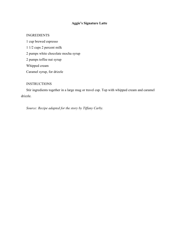# **Aggie's Signature Latte**

## <span id="page-13-0"></span>INGREDIENTS

1 cup brewed espresso 1 1/2 cups 2 percent milk 2 pumps white chocolate mocha syrup 2 pumps toffee nut syrup Whipped cream Caramel syrup, for drizzle

## **INSTRUCTIONS**

Stir ingredients together in a large mug or travel cup. Top with whipped cream and caramel drizzle.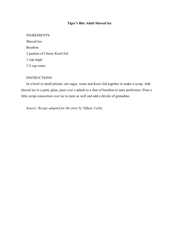# **Tiger's Bite Adult Shaved Ice**

### <span id="page-14-0"></span>INGREDIENTS

Shaved Ice Bourbon 2 packets of Cherry Kool-Aid 1 cup sugar 1/2 cup water

## **INSTRUCTIONS**

In a bowl or small pitcher, stir sugar, water and Kool-Aid together to make a syrup. Add shaved ice to a party glass, pour over a splash to a shot of bourbon to taste preference. Pour a little syrup concoction over ice to taste as well and add a drizzle of grenadine.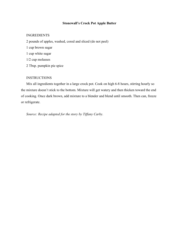### **Stonewall's Crock Pot Apple Butter**

### <span id="page-15-0"></span>INGREDIENTS

2 pounds of apples, washed, cored and sliced (do not peel) 1 cup brown sugar 1 cup white sugar 1/2 cup molasses 2 Tbsp. pumpkin pie spice

### **INSTRUCTIONS**

Mix all ingredients together in a large crock pot. Cook on high 6-8 hours, stirring hourly so the mixture doesn't stick to the bottom. Mixture will get watery and then thicken toward the end of cooking. Once dark brown, add mixture to a blender and blend until smooth. Then can, freeze or refrigerate.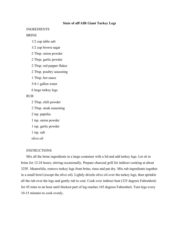### **State of afFAIR Giant Turkey Legs**

### <span id="page-16-0"></span>INGREDIENTS

## BRINE

1/2 cup table salt

1/2 cup brown sugar

2 Tbsp. onion powder

2 Tbsp. garlic powder

2 Tbsp. red pepper flakes

2 Tbsp. poultry seasoning

1 Tbsp. hot sauce

3/4-1 gallon water

6 large turkey legs

### RUB

2 Tbsp. chili powder

2 Tbsp. steak seasoning

2 tsp. paprika

1 tsp. onion powder

1 tsp. garlic powder

1 tsp. salt

olive oil

#### INSTRUCTIONS

Mix all the brine ingredients in a large container with a lid and add turkey legs. Let sit in brine for 12-24 hours, stirring occasionally. Prepare charcoal grill for indirect cooking at about 325F. Meanwhile, remove turkey legs from brine, rinse and pat dry. Mix rub ingredients together in a small bowl (except the olive oil). Lightly drizzle olive oil over the turkey legs, then sprinkle all the rub over the legs and gently rub to coat. Cook over indirect heat (325 degrees Fahrenheit) for 45 mins to an hour until thickest part of leg reaches 165 degrees Fahrenheit. Turn legs every 10-15 minutes to cook evenly.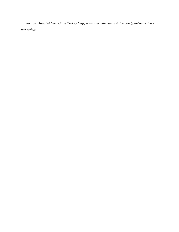*Source: Adapted from Giant Turkey Legs, www.aroundmyfamilytable.com/giant-fair-styleturkey-legs*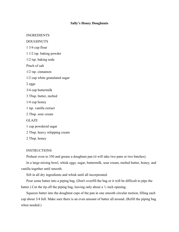### **Sally's Honey Doughnuts**

## <span id="page-18-0"></span>INGREDIENTS

## DOUGHNUTS

1 3/4 cup flour

1 1/2 tsp. baking powder

1/2 tsp. baking soda

Pinch of salt

1/2 tsp. cinnamon

1/2 cup white granulated sugar

2 eggs

3/4 cup buttermilk

3 Tbsp. butter, melted

1/4 cup honey

1 tsp. vanilla extract

2 Tbsp. sour cream

GLAZE

1 cup powdered sugar

2 Tbsp. heavy whipping cream

2 Tbsp. honey

#### INSTRUCTIONS

Preheat oven to 350 and grease a doughnut pan (it will take two pans or two batches).

In a large mixing bowl, whisk eggs, sugar, buttermilk, sour cream, melted butter, honey, and vanilla together until smooth.

Sift in all dry ingredients and whisk until all incorporated.

Pour some batter into a piping bag. (Don't overfill the bag or it will be difficult to pipe the batter.) Cut the tip off the piping bag, leaving only about a  $\frac{1}{2}$  inch opening.

Squeeze batter into the doughnut cups of the pan in one smooth circular motion, filling each cup about 3/4 full. Make sure there is an even amount of batter all around. (Refill the piping bag when needed.)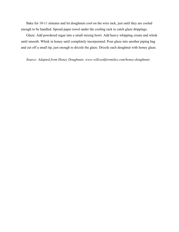Bake for 10-11 minutes and let doughnuts cool on the wire rack, just until they are cooled enough to be handled. Spread paper towel under the cooling rack to catch glaze drippings.

Glaze: Add powdered sugar into a small mixing bowl. Add heavy whipping cream and whisk until smooth. Whisk in honey until completely incorporated. Pour glaze into another piping bag and cut off a small tip, just enough to drizzle the glaze. Drizzle each doughnut with honey glaze.

*Source: Adapted from Honey Doughnuts, www.willcookforsmiles.com/honey-doughnuts*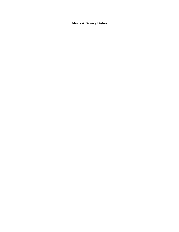<span id="page-20-0"></span>**Meats & Savory Dishes**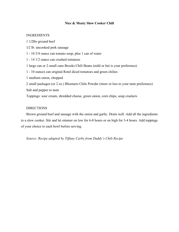## **Nice & Meaty Slow Cooker Chili**

### <span id="page-21-0"></span>INGREDIENTS

1 1⁄2lbs ground beef 1⁄2 lb. uncooked pork sausage 1 - 10 3/4 ounce can tomato soup, plus 1 can of water 1 - 14 1/2 ounce can crushed tomatoes 1 large can or 2 small cans Brooks Chili Beans (mild or hot is your preference) 1 - 10 ounce) can original Rotel diced tomatoes and green chilies 1 medium onion, chopped 2 small packages (or 2 oz.) Bloemers Chile Powder (more or less to your taste preference) Salt and pepper to taste Toppings: sour cream, shredded cheese, green onion, corn chips, soup crackers

## **DIRECTIONS**

Brown ground beef and sausage with the onion and garlic. Drain well. Add all the ingredients to a slow cooker. Stir and let simmer on low for 6-8 hours or on high for 3-4 hours. Add toppings of your choice to each bowl before serving.

*Source: Recipe adapted by Tiffany Carby from Daddy's Chili Recipe*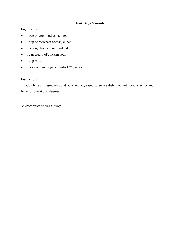# **Hawt Dog Casserole**

# <span id="page-22-0"></span>Ingredients

- 1 bag of egg noodles, cooked
- 1 cup of Velveeta cheese, cubed
- 1 onion, chopped and sautéed
- 1 can cream of chicken soup
- 1 cup milk
- 1 package hot dogs, cut into 1/2" pieces

# **Instructions**

Combine all ingredients and pour into a greased casserole dish. Top with breadcrumbs and bake for one at 350 degrees.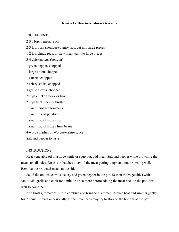### **Kentucky BurGoo-oodness Gracious**

### <span id="page-23-0"></span>INGREDIENTS

2-3 Tbsp. vegetable oil

2-3 lbs. pork shoulder/country ribs, cut into large pieces

1-2 lbs. chuck roast or stew meat, cut into large pieces

3-4 chicken legs (bone-in)

1 green pepper, chopped

1 large onion, chopped

1 carrots, chopped

2 celery stalks, chopped

3 garlic cloves, chopped

2 cups chicken stock or broth

2 cups beef stock or broth

1 can of crushed tomatoes

1 can of diced potatoes

1 small bag of frozen corn

1 small bag of frozen lima beans

4-6 big splashes of Worcestershire sauce

Salt and pepper to taste

#### **INSTRUCTIONS**

Heat vegetable oil in a large kettle or soup pot, add meat. Salt and pepper while browning the meats on all sides. Do this in batches to avoid the meat getting tough and not browning well. Remove the browned meats to the side.

Sauté the onions, carrots, celery and green pepper in the pot. Season the vegetables with sault. Add garlic and cook for a minute or so more before adding the meat back to the pot. Stir well to combine.

Add broths, tomatoes, stir to combine and bring to a simmer. Reduce heat and simmer gently for 2 hours, stirring occasionally as the lima beans may try to stick to the bottom of the pot.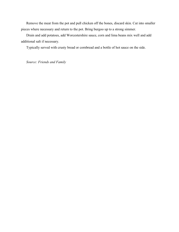Remove the meat from the pot and pull chicken off the bones, discard skin. Cut into smaller pieces where necessary and return to the pot. Bring burgoo up to a strong simmer.

Drain and add potatoes, add Worcestershire sauce, corn and lima beans mix well and add additional salt if necessary.

Typically served with crusty bread or cornbread and a bottle of hot sauce on the side.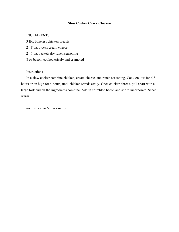# **Slow Cooker Crack Chicken**

## <span id="page-25-0"></span>INGREDIENTS

- 3 lbs. boneless chicken breasts
- 2 8 oz. blocks cream cheese
- 2 1 oz. packets dry ranch seasoning
- 8 oz bacon, cooked crisply and crumbled

## Instructions

In a slow cooker combine chicken, cream cheese, and ranch seasoning. Cook on low for 6-8 hours or on high for 4 hours, until chicken shreds easily. Once chicken shreds, pull apart with a large fork and all the ingredients combine. Add in crumbled bacon and stir to incorporate. Serve warm.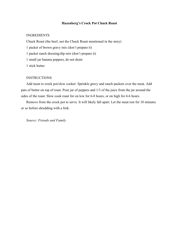### **Hazenberg's Crock Pot Chuck Roast**

## <span id="page-26-0"></span>INGREDIENTS

Chuck Roast (the beef, not the Chuck Roast mentioned in the story) 1 packet of brown gravy mix (don't prepare it) 1 packet ranch dressing/dip mix (don't prepare it) 1 small jar banana peppers, do not drain 1 stick butter

## INSTRUCTIONS

Add meat to crock pot/slow cooker. Sprinkle gravy and ranch packets over the meat. Add pats of butter on top of roast. Pour jar of peppers and 1/3 of the juice from the jar around the sides of the roast. Slow cook roast for on low for 6-8 hours, or on high for 4-6 hours.

Remove from the crock pot to serve. It will likely fall apart. Let the meat rest for 10 minutes or so before shredding with a fork.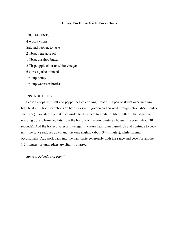### **Honey I'm Home Garlic Pork Chops**

### <span id="page-27-0"></span>INGREDIENTS

4-6 pork chops Salt and pepper, to taste 2 Tbsp. vegetable oil 1 Tbsp. unsalted butter 2 Tbsp. apple cider or white vinegar 6 cloves garlic, minced 1/4 cup honey 1/4 cup water (or broth)

### INSTRUCTIONS

Season chops with salt and pepper before cooking. Heat oil in pan or skillet over medium high heat until hot. Sear chops on both sides until golden and cooked through (about 4-5 minutes each side). Transfer to a plate; set aside. Reduce heat to medium. Melt butter in the same pan, scraping up any browned bits from the bottom of the pan. Sauté garlic until fragrant (about 30 seconds). Add the honey, water and vinegar. Increase heat to medium-high and continue to cook until the sauce reduces down and thickens slightly (about 3-4 minutes), while stirring occasionally. Add pork back into the pan, baste generously with the sauce and cook for another 1-2 minutes, or until edges are slightly charred.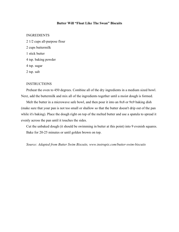## **Butter Will "Float Like The Swan" Biscuits**

### <span id="page-28-0"></span>INGREDIENTS

2 1/2 cups all-purpose flour 2 cups buttermilk 1 stick butter 4 tsp. baking powder 4 tsp. sugar 2 tsp. salt

### **INSTRUCTIONS**

Preheat the oven to 450 degrees. Combine all of the dry ingredients in a medium sized bowl. Next, add the buttermilk and mix all of the ingredients together until a moist dough is formed.

Melt the butter in a microwave safe bowl, and then pour it into an 8x8 or 9x9 baking dish (make sure that your pan is not too small or shallow so that the butter doesn't drip out of the pan while it's baking). Place the dough right on top of the melted butter and use a spatula to spread it evenly across the pan until it touches the sides.

Cut the unbaked dough (it should be swimming in butter at this point) into 9 evenish squares. Bake for 20-25 minutes or until golden brown on top.

*Source: Adapted from Butter Swim Biscuits, www.instrupix.com/butter-swim-biscuits*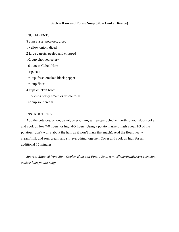### **Such a Ham and Potato Soup (Slow Cooker Recipe)**

### <span id="page-29-0"></span>INGREDIENTS:

8 cups russet potatoes, diced 1 yellow onion, diced 2 large carrots, peeled and chopped 1/2 cup chopped celery 16 ounces Cubed Ham 1 tsp. salt 1/4 tsp. fresh cracked black pepper 1/4 cup flour 4 cups chicken broth 1 1/2 cups heavy cream or whole milk 1/2 cup sour cream

### INSTRUCTIONS:

Add the potatoes, onion, carrot, celery, ham, salt, pepper, chicken broth to your slow cooker and cook on low 7-8 hours, or high 4-5 hours. Using a potato masher, mash about 1/3 of the potatoes (don't worry about the ham as it won't mash that much). Add the flour, heavy cream/milk and sour cream and stir everything together. Cover and cook on high for an additional 15 minutes.

*Source: Adapted from Slow Cooker Ham and Potato Soup www.dinnerthendessert.com/slowcooker-ham-potato-soup*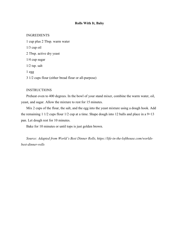### **Rolls With It, Baby**

### <span id="page-30-0"></span>INGREDIENTS

1 cup plus 2 Tbsp. warm water 1/3 cup oil 2 Tbsp. active dry yeast 1/4 cup sugar 1/2 tsp. salt 1 egg 3 1/2 cups flour (either bread flour or all-purpose)

#### INSTRUCTIONS

Preheat oven to 400 degrees. In the bowl of your stand mixer, combine the warm water, oil, yeast, and sugar. Allow the mixture to rest for 15 minutes.

Mix 2 cups of the flour, the salt, and the egg into the yeast mixture using a dough hook. Add the remaining 1 1/2 cups flour  $1/2$  cup at a time. Shape dough into 12 balls and place in a  $9\times13$ pan. Let dough rest for 10 minutes.

Bake for 10 minutes or until tops is just golden brown.

*Source: Adapted from World's Best Dinner Rolls, https://life-in-the-lofthouse.com/worldsbest-dinner-rolls*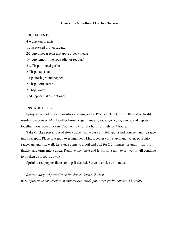### **Crock Pot Sweetheart Garlic Chicken**

## <span id="page-31-0"></span>INGREDIENTS

4-6 chicken breasts 1 cup packed brown sugar... 2/3 cup vinegar (can use apple cider vinegar) 1/4 cup lemon-lime soda (diet or regular) 2-3 Tbsp. minced garlic 2 Tbsp. soy sauce 1 tsp. fresh ground pepper 2 Tbsp. corn starch 2 Tbsp. water Red pepper flakes (optional)

## **INSTRUCTIONS**

Spray slow cooker with non-stick cooking spray. Place chicken (frozen, thawed or fresh) inside slow cooker. Mix together brown sugar, vinegar, soda, garlic, soy sauce, and pepper together. Pour over chicken. Cook on low for 6-8 hours or high for 4 hours.

Take chicken pieces out of slow cooker (mine basically fell apart) and pour remaining sauce into saucepan. Place saucepan over high heat. Mix together corn starch and water, pour into saucepan, and mix well. Let sauce come to a boil and boil for 2-3 minutes, or until it starts to thicken and turns into a glaze. Remove from heat and let sit for a minute or two (it will continue to thicken as it cools down).

Sprinkle red pepper flakes on top if desired. Serve over rice or noodles.

*Source: Adapted from Crock Pot Sweet Garlic Chicken, www.epicurious.com/recipes/member/views/crock-pot-sweet-garlic-chicken-52496001*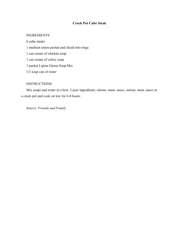# **Crock Pot Cube Steak**

## <span id="page-32-0"></span>INGREDIENTS

6 cube steaks 1 medium onion peeled and sliced into rings 1 can cream of chicken soup 1 can cream of celery soup 1 packet Lipton Onion Soup Mix 1/2 soup can of water

## **INSTRUCTIONS**

Mix soups and water in a bow. Layer ingredients, onions, meat, sauce, onions, meat, sauce in a crock pot and cook on low for 6-8 hours.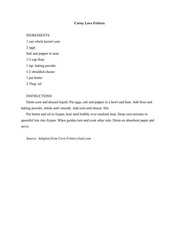## **Corny Love Fritters**

### <span id="page-33-0"></span>INGREDIENTS

1 can whole kernel corn 2 eggs Salt and pepper to taste 1/2 cup flour 1 tsp. baking powder 1/2 shredded cheese 1 pat butter 2 Tbsp. oil

## **INSTRUCTIONS**

Drain corn and discard liquid. Put eggs, salt and pepper in a bowl and beat. Add flour and baking powder, whisk until smooth. Add corn and cheese. Stir.

Put butter and oil in frypan, heat until bubbly over medium heat. Drop corn mixture in spoonful lots into frypan. When golden turn and cook other side. Drain on absorbent paper and serve.

*Source: Adapted from Corn Fritters food.com*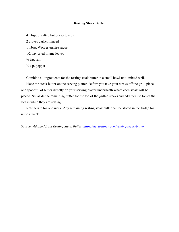### **Resting Steak Butter**

<span id="page-34-0"></span>4 Tbsp. unsalted butter (softened) 2 cloves garlic, minced 1 Tbsp. Worcestershire sauce 1/2 tsp. dried thyme leaves  $\frac{1}{2}$  tsp. salt  $\frac{1}{2}$  tsp. pepper

Combine all ingredients for the resting steak butter in a small bowl until mixed well.

Place the steak butter on the serving platter. Before you take your steaks off the grill, place one spoonful of butter directly on your serving platter underneath where each steak will be placed. Set aside the remaining butter for the top of the grilled steaks and add them to top of the steaks while they are resting.

Refrigerate for one week. Any remaining resting steak butter can be stored in the fridge for up to a week.

*Source: Adapted from Resting Steak Butter,<https://heygrillhey.com/resting-steak-butter>*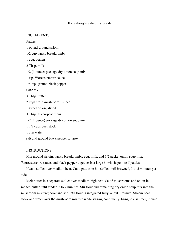## **Hazenberg's Salisbury Steak**

### <span id="page-35-0"></span>INGREDIENTS

Patties:

1 pound ground sirloin 1/2 cup panko breadcrumbs 1 egg, beaten 2 Tbsp. milk 1/2 (1 ounce) package dry onion soup mix 1 tsp. Worcestershire sauce 1/4 tsp. ground black pepper GRAVY 3 Tbsp. butter 2 cups fresh mushrooms, sliced 1 sweet onion, sliced 3 Tbsp. all-purpose flour 1/2 (1 ounce) package dry onion soup mix 1 1/2 cups beef stock 1 cup water salt and ground black pepper to taste

## **INSTRUCTIONS**

Mix ground sirloin, panko breadcrumbs, egg, milk, and 1/2 packet onion soup mix, Worcestershire sauce, and black pepper together in a large bowl; shape into 5 patties.

Heat a skillet over medium heat. Cook patties in hot skillet until browned, 3 to 5 minutes per side.

Melt butter in a separate skillet over medium-high heat. Sauté mushrooms and onion in melted butter until tender, 5 to 7 minutes. Stir flour and remaining dry onion soup mix into the mushroom mixture; cook and stir until flour is integrated fully, about 1 minute. Stream beef stock and water over the mushroom mixture while stirring continually; bring to a simmer, reduce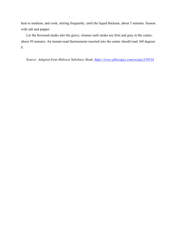heat to medium, and cook, stirring frequently, until the liquid thickens, about 5 minutes. Season with salt and pepper.

Lie the browned steaks into the gravy; simmer until steaks are firm and gray in the center, about 30 minutes. An instant-read thermometer inserted into the center should read 160 degrees F.

*Source: Adapted from Midwest Salisbury Steak,<https://www.allrecipes.com/recipe/239534>*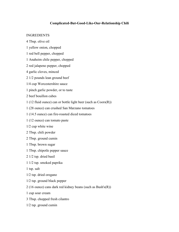# **Complicated-But-Good-Like-Our-Relationship Chili**

### INGREDIENTS

- 4 Tbsp. olive oil
- 1 yellow onion, chopped
- 1 red bell pepper, chopped
- 1 Anaheim chile pepper, chopped
- 2 red jalapeno pepper, chopped
- 4 garlic cloves, minced
- 2 1/2 pounds lean ground beef
- 1/4 cup Worcestershire sauce
- 1 pinch garlic powder, or to taste
- 2 beef bouillon cubes
- 1 (12 fluid ounce) can or bottle light beer (such as Coors(R))
- 1 (28 ounce) can crushed San Marzano tomatoes
- 1 (14.5 ounce) can fire-roasted diced tomatoes
- 1 (12 ounce) can tomato paste
- 1/2 cup white wine
- 2 Tbsp. chili powder
- 2 Tbsp. ground cumin
- 1 Tbsp. brown sugar
- 1 Tbsp. chipotle pepper sauce
- 2 1/2 tsp. dried basil
- 1 1/2 tsp. smoked paprika
- 1 tsp. salt
- 1/2 tsp. dried oregano
- 1/2 tsp. ground black pepper
- 2 (16 ounce) cans dark red kidney beans (such as Bush's(R))
- 1 cup sour cream
- 3 Tbsp. chopped fresh cilantro
- 1/2 tsp. ground cumin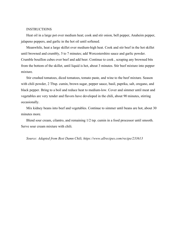#### **INSTRUCTIONS**

Heat oil in a large pot over medium heat; cook and stir onion, bell pepper, Anaheim pepper, jalapeno peppers, and garlic in the hot oil until softened.

Meanwhile, heat a large skillet over medium-high heat. Cook and stir beef in the hot skillet until browned and crumbly, 5 to 7 minutes; add Worcestershire sauce and garlic powder. Crumble bouillon cubes over beef and add beer. Continue to cook , scraping any browned bits from the bottom of the skillet, until liquid is hot, about 3 minutes. Stir beef mixture into pepper mixture.

Stir crushed tomatoes, diced tomatoes, tomato paste, and wine to the beef mixture. Season with chili powder, 2 Tbsp. cumin, brown sugar, pepper sauce, basil, paprika, salt, oregano, and black pepper. Bring to a boil and reduce heat to medium-low. Cover and simmer until meat and vegetables are very tender and flavors have developed in the chili, about 90 minutes, stirring occasionally.

Mix kidney beans into beef and vegetables. Continue to simmer until beans are hot, about 30 minutes more.

Blend sour cream, cilantro, and remaining 1/2 tsp. cumin in a food processor until smooth. Serve sour cream mixture with chili.

#### *Source: Adapted from Best Damn Chili, https://www.allrecipes.com/recipe/233613*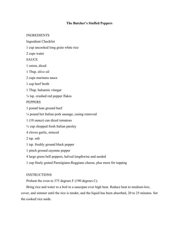## **The Butcher's Stuffed Peppers**

### INGREDIENTS

Ingredient Checklist

1 cup uncooked long grain white rice

2 cups water

**SAUCE** 

1 onion, diced

1 Tbsp. olive oil

2 cups marinara sauce

1 cup beef broth

1 Tbsp. balsamic vinegar

¼ tsp. crushed red pepper flakes

## **PEPPERS**

1 pound lean ground beef

¼ pound hot Italian pork sausage, casing removed

1 (10 ounce) can diced tomatoes

 $\frac{1}{4}$  cup chopped fresh Italian parsley

4 cloves garlic, minced

2 tsp. salt

1 tsp. freshly ground black pepper

1 pinch ground cayenne pepper

4 large green bell peppers, halved lengthwise and seeded

1 cup finely grated Parmigiano-Reggiano cheese, plus more for topping

# **INSTRUCTIONS**

Preheat the oven to 375 degrees F (190 degrees C).

Bring rice and water to a boil in a saucepan over high heat. Reduce heat to medium-low,

cover, and simmer until the rice is tender, and the liquid has been absorbed, 20 to 25 minutes. Set the cooked rice aside.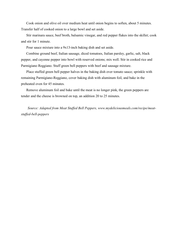Cook onion and olive oil over medium heat until onion begins to soften, about 5 minutes. Transfer half of cooked onion to a large bowl and set aside.

Stir marinara sauce, beef broth, balsamic vinegar, and red pepper flakes into the skillet; cook and stir for 1 minute.

Pour sauce mixture into a 9x13-inch baking dish and set aside.

Combine ground beef, Italian sausage, diced tomatoes, Italian parsley, garlic, salt, black pepper, and cayenne pepper into bowl with reserved onions; mix well. Stir in cooked rice and Parmigiano Reggiano. Stuff green bell peppers with beef and sausage mixture.

Place stuffed green bell pepper halves in the baking dish over tomato sauce; sprinkle with remaining Parmigiano-Reggiano, cover baking dish with aluminum foil, and bake in the preheated oven for 45 minutes.

Remove aluminum foil and bake until the meat is no longer pink, the green peppers are tender and the cheese is browned on top, an addition 20 to 25 minutes.

*Source: Adapted from Meat Stuffed Bell Peppers, www.mydeliciousmeals.com/recipe/meatstuffed-bell-peppers*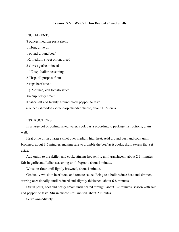#### **Creamy "Can We Call Him Beefcake" and Shells**

#### INGREDIENTS

8 ounces medium pasta shells 1 Tbsp. olive oil 1 pound ground beef 1/2 medium sweet onion, diced 2 cloves garlic, minced 1 1/2 tsp. Italian seasoning 2 Tbsp. all-purpose flour 2 cups beef stock 1 (15-ounce) can tomato sauce 3/4 cup heavy cream Kosher salt and freshly ground black pepper, to taste 6 ounces shredded extra-sharp cheddar cheese, about 1 1/2 cups

### INSTRUCTIONS

In a large pot of boiling salted water, cook pasta according to package instructions; drain well.

Heat olive oil in a large skillet over medium high heat. Add ground beef and cook until browned, about 3-5 minutes, making sure to crumble the beef as it cooks; drain excess fat. Set aside.

Add onion to the skillet, and cook, stirring frequently, until translucent, about 2-3 minutes. Stir in garlic and Italian seasoning until fragrant, about 1 minute.

Whisk in flour until lightly browned, about 1 minute.

Gradually whisk in beef stock and tomato sauce. Bring to a boil; reduce heat and simmer, stirring occasionally, until reduced and slightly thickened, about 6-8 minutes.

Stir in pasta, beef and heavy cream until heated through, about 1-2 minutes; season with salt and pepper, to taste. Stir in cheese until melted, about 2 minutes.

Serve immediately.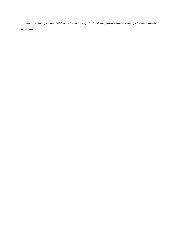*Source: Recipe adapted from Creamy Beef Pasta Shells, https://tasty.co/recipe/creamy-beefpasta-shells*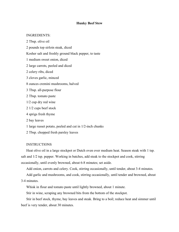#### **Hunky Beef Stew**

### INGREDIENTS:

2 Tbsp. olive oil 2 pounds top sirloin steak, diced Kosher salt and freshly ground black pepper, to taste 1 medium sweet onion, diced 2 large carrots, peeled and diced 2 celery ribs, diced 3 cloves garlic, minced 8 ounces cremini mushrooms, halved 3 Tbsp. all-purpose flour 2 Tbsp. tomato paste 1/2 cup dry red wine 2 1/2 cups beef stock 4 sprigs fresh thyme 2 bay leaves 1 large russet potato, peeled and cut in 1/2-inch chunks 2 Tbsp. chopped fresh parsley leaves

#### **INSTRUCTIONS**

Heat olive oil in a large stockpot or Dutch oven over medium heat. Season steak with 1 tsp. salt and 1/2 tsp. pepper. Working in batches, add steak to the stockpot and cook, stirring occasionally, until evenly browned, about 6-8 minutes; set aside.

Add onion, carrots and celery. Cook, stirring occasionally, until tender, about 3-4 minutes.

Add garlic and mushrooms, and cook, stirring occasionally, until tender and browned, about 3-4 minutes.

Whisk in flour and tomato paste until lightly browned, about 1 minute.

Stir in wine, scraping any browned bits from the bottom of the stockpot.

Stir in beef stock, thyme, bay leaves and steak. Bring to a boil; reduce heat and simmer until beef is very tender, about 30 minutes.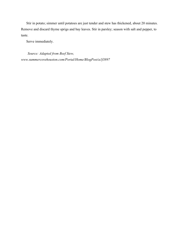Stir in potato; simmer until potatoes are just tender and stew has thickened, about 20 minutes. Remove and discard thyme sprigs and bay leaves. Stir in parsley; season with salt and pepper, to taste.

Serve immediately.

*Source: Adapted from Beef Stew, www.summercovehouston.com/Portal/Home/BlogPost/a1f3897*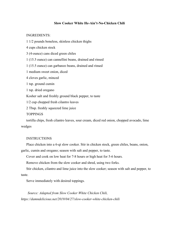### **Slow Cooker White He-Ain't-No-Chicken Chili**

#### INGREDIENTS:

1 1/2 pounds boneless, skinless chicken thighs

4 cups chicken stock

3 (4-ounce) cans diced green chiles

1 (15.5 ounce) can cannellini beans, drained and rinsed

1 (15.5 ounce) can garbanzo beans, drained and rinsed

1 medium sweet onion, diced

4 cloves garlic, minced

1 tsp. ground cumin

1 tsp. dried oregano

Kosher salt and freshly ground black pepper, to taste

1/2 cup chopped fresh cilantro leaves

2 Tbsp. freshly squeezed lime juice

TOPPINGS

tortilla chips, fresh cilantro leaves, sour cream, diced red onion, chopped avocado, lime wedges

#### **INSTRUCTIONS**

Place chicken into a 6-qt slow cooker. Stir in chicken stock, green chiles, beans, onion, garlic, cumin and oregano; season with salt and pepper, to taste.

Cover and cook on low heat for 7-8 hours or high heat for 5-6 hours.

Remove chicken from the slow cooker and shred, using two forks.

Stir chicken, cilantro and lime juice into the slow cooker; season with salt and pepper, to taste.

Serve immediately with desired toppings.

*Source: Adapted from Slow Cooker White Chicken Chili, https://damndelicious.net/2019/04/27/slow-cooker-white-chicken-chili*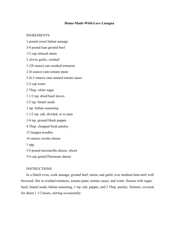### **Home-Made-With-Love Lasagna**

#### INGREDIENTS

- 1 pound sweet Italian sausage
- 3/4 pound lean ground beef
- 1/2 cup minced onion
- 2 cloves garlic, crushed
- 1 (28 ounce) can crushed tomatoes
- 2 (6 ounce) cans tomato paste
- 2 (6.5 ounce) cans canned tomato sauce
- 1/2 cup water
- 2 Tbsp. white sugar
- 1 1/2 tsp. dried basil leaves
- 1/2 tsp. fennel seeds
- 1 tsp. Italian seasoning
- 1 1/2 tsp. salt, divided, or to taste
- 1/4 tsp. ground black pepper
- 4 Tbsp. chopped fresh parsley
- 12 lasagna noodles
- 16 ounces ricotta cheese
- 1 egg
- 3/4 pound mozzarella cheese, sliced
- 3/4 cup grated Parmesan cheese

#### INSTRUCTIONS

In a Dutch oven, cook sausage, ground beef, onion, and garlic over medium heat until well browned. Stir in crushed tomatoes, tomato paste, tomato sauce, and water. Season with sugar, basil, fennel seeds, Italian seasoning, 1 tsp. salt, pepper, and 2 Tbsp. parsley. Simmer, covered, for about 1 1/2 hours, stirring occasionally.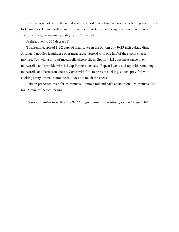Bring a large pot of lightly salted water to a boil. Cook lasagna noodles in boiling water for 8 to 10 minutes. Drain noodles, and rinse with cold water. In a mixing bowl, combine ricotta cheese with egg, remaining parsley, and 1/2 tsp. salt.

Preheat oven to 375 degrees F.

To assemble, spread 1 1/2 cups of meat sauce in the bottom of a 9x13 inch baking dish. Arrange 6 noodles lengthwise over meat sauce. Spread with one half of the ricotta cheese mixture. Top with a third of mozzarella cheese slices. Spoon 1 1/2 cups meat sauce over mozzarella, and sprinkle with 1/4 cup Parmesan cheese. Repeat layers, and top with remaining mozzarella and Parmesan cheese. Cover with foil: to prevent sticking, either spray foil with cooking spray, or make sure the foil does not touch the cheese.

Bake in preheated oven for 25 minutes. Remove foil and bake an additional 25 minutes. Cool for 15 minutes before serving.

*Source: Adapted from World's Best Lasagna, https://www.allrecipes.com/recipe/23600*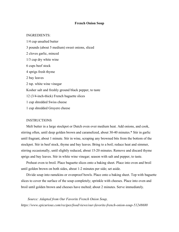#### **French Onion Soup**

### INGREDIENTS:

1/4 cup unsalted butter 3 pounds (about 5 medium) sweet onions, sliced 2 cloves garlic, minced 1/3 cup dry white wine 6 cups beef stock 4 sprigs fresh thyme 2 bay leaves 2 tsp. white wine vinegar Kosher salt and freshly ground black pepper, to taste 12 (3/4-inch-thick) French baguette slices 1 cup shredded Swiss cheese 1 cup shredded Gruyere cheese

### INSTRUCTIONS

Melt butter in a large stockpot or Dutch oven over medium heat. Add onions, and cook, stirring often, until deep golden brown and caramelized, about 30-40 minutes.\* Stir in garlic until fragrant, about 1 minute. Stir in wine, scraping any browned bits from the bottom of the stockpot. Stir in beef stock, thyme and bay leaves. Bring to a boil; reduce heat and simmer, stirring occasionally, until slightly reduced, about 15-20 minutes. Remove and discard thyme sprigs and bay leaves. Stir in white wine vinegar; season with salt and pepper, to taste.

Preheat oven to broil. Place baguette slices onto a baking sheet. Place into oven and broil until golden brown on both sides, about 1-2 minutes per side; set aside.

Divide soup into ramekins or ovenproof bowls. Place onto a baking sheet. Top with baguette slices to cover the surface of the soup completely; sprinkle with cheeses. Place into oven and broil until golden brown and cheeses have melted; about 2 minutes. Serve immediately.

*Source: Adapted from Our Favorite French Onion Soup, https://www.epicurious.com/recipes/food/views/our-favorite-french-onion-soup-51248680*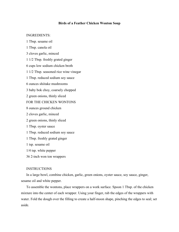### **Birds of a Feather Chicken Wonton Soup**

#### INGREDIENTS:

1 Tbsp. sesame oil 1 Tbsp. canola oil 3 cloves garlic, minced 1 1/2 Tbsp. freshly grated ginger 6 cups low sodium chicken broth 1 1/2 Tbsp. seasoned rice wine vinegar 1 Tbsp. reduced sodium soy sauce 6 ounces shiitake mushrooms 3 baby bok choy, coarsely chopped 2 green onions, thinly sliced FOR THE CHICKEN WONTONS 8 ounces ground chicken 2 cloves garlic, minced 2 green onions, thinly sliced 1 Tbsp. oyster sauce 1 Tbsp. reduced sodium soy sauce 1 Tbsp. freshly grated ginger 1 tsp. sesame oil 1/4 tsp. white pepper 36 2-inch won ton wrappers

#### INSTRUCTIONS

In a large bowl, combine chicken, garlic, green onions, oyster sauce, soy sauce, ginger, sesame oil and white pepper.

To assemble the wontons, place wrappers on a work surface. Spoon 1 Tbsp. of the chicken mixture into the center of each wrapper. Using your finger, rub the edges of the wrappers with water. Fold the dough over the filling to create a half-moon shape, pinching the edges to seal; set aside.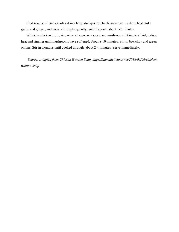Heat sesame oil and canola oil in a large stockpot or Dutch oven over medium heat. Add garlic and ginger, and cook, stirring frequently, until fragrant, about 1-2 minutes.

Whisk in chicken broth, rice wine vinegar, soy sauce and mushrooms. Bring to a boil; reduce heat and simmer until mushrooms have softened, about 8-10 minutes. Stir in bok choy and green onions. Stir in wontons until cooked through, about 2-4 minutes. Serve immediately.

*Source: Adapted from Chicken Wonton Soup, https://damndelicious.net/2018/04/06/chickenwonton-soup*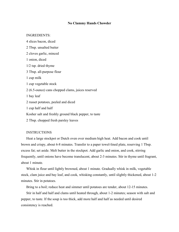#### **No Clammy Hands Chowder**

#### INGREDIENTS:

4 slices bacon, diced 2 Tbsp. unsalted butter 2 cloves garlic, minced 1 onion, diced 1/2 tsp. dried thyme 3 Tbsp. all-purpose flour 1 cup milk 1 cup vegetable stock 2 (6.5-ounce) cans chopped clams, juices reserved 1 bay leaf 2 russet potatoes, peeled and diced 1 cup half and half Kosher salt and freshly ground black pepper, to taste 2 Tbsp. chopped fresh parsley leaves

#### **INSTRUCTIONS**

Heat a large stockpot or Dutch oven over medium high heat. Add bacon and cook until brown and crispy, about 6-8 minutes. Transfer to a paper towel-lined plate, reserving 1 Tbsp. excess fat; set aside. Melt butter in the stockpot. Add garlic and onion, and cook, stirring frequently, until onions have become translucent, about 2-3 minutes. Stir in thyme until fragrant, about 1 minute.

Whisk in flour until lightly browned, about 1 minute. Gradually whisk in milk, vegetable stock, clam juice and bay leaf, and cook, whisking constantly, until slightly thickened, about 1-2 minutes. Stir in potatoes.

Bring to a boil; reduce heat and simmer until potatoes are tender, about 12-15 minutes.

Stir in half and half and clams until heated through, about 1-2 minutes; season with salt and pepper, to taste. If the soup is too thick, add more half and half as needed until desired consistency is reached.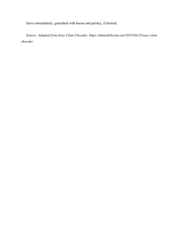Serve immediately, garnished with bacon and parsley, if desired.

*Source: Adapted from Easy Clam Chowder, https://damndelicious.net/2015/04/25/easy-clamchowder*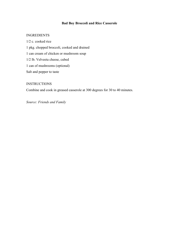# **Bad Boy Broccoli and Rice Casserole**

### INGREDIENTS

1/2 c. cooked rice 1 pkg. chopped broccoli, cooked and drained 1 can cream of chicken or mushroom soup 1/2 lb. Velveeta cheese, cubed 1 can of mushrooms (optional) Salt and pepper to taste

### **INSTRUCTIONS**

Combine and cook in greased casserole at 300 degrees for 30 to 40 minutes.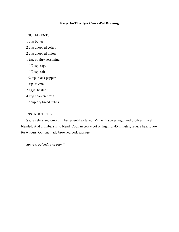# **Easy-On-The-Eyes Crock-Pot Dressing**

#### INGREDIENTS

1 cup butter 2 cup chopped celery 2 cup chopped onion 1 tsp. poultry seasoning 1 1/2 tsp. sage 1 1/2 tsp. salt 1/2 tsp. black pepper 1 tsp. thyme 2 eggs, beaten 4 cup chicken broth 12 cup dry bread cubes

### **INSTRUCTIONS**

Sauté celery and onions in butter until softened. Mix with spices, eggs and broth until well blended. Add crumbs; stir to blend. Cook in crock-pot on high for 45 minutes; reduce heat to low for 6 hours. Optional: add browned pork sausage.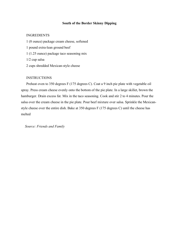#### **South of the Border Skinny Dipping**

### INGREDIENTS

1 (8 ounce) package cream cheese, softened 1 pound extra-lean ground beef 1 (1.25 ounce) package taco seasoning mix 1/2 cup salsa 2 cups shredded Mexican-style cheese

### INSTRUCTIONS

Preheat oven to 350 degrees F (175 degrees C). Coat a 9 inch pie plate with vegetable oil spray. Press cream cheese evenly onto the bottom of the pie plate. In a large skillet, brown the hamburger. Drain excess fat. Mix in the taco seasoning. Cook and stir 2 to 4 minutes. Pour the salsa over the cream cheese in the pie plate. Pour beef mixture over salsa. Sprinkle the Mexicanstyle cheese over the entire dish. Bake at 350 degrees F (175 degrees C) until the cheese has melted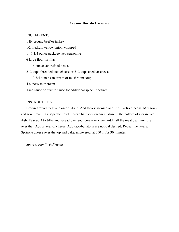### **Creamy Burrito Casserole**

### INGREDIENTS

1 lb. ground beef or turkey 1/2 medium yellow onion, chopped 1 - 1 1/4 ounce package taco seasoning 6 large flour tortillas 1 - 16 ounce can refried beans 2 -3 cups shredded taco cheese or 2 -3 cups cheddar cheese 1 - 10 3/4 ounce can cream of mushroom soup 4 ounces sour cream Taco sauce or burrito sauce for additional spice, if desired.

### INSTRUCTIONS

Brown ground meat and onion; drain. Add taco seasoning and stir in refried beans. Mix soup and sour cream in a separate bowl. Spread half sour cream mixture in the bottom of a casserole dish. Tear up 3 tortillas and spread over sour cream mixture. Add half the meat bean mixture over that. Add a layer of cheese. Add taco/burrito sauce now, if desired. Repeat the layers. Sprinkle cheese over the top and bake, uncovered, at 350°F for 30 minutes.

*Source: Family & Friends*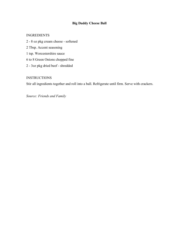# **Big Daddy Cheese Ball**

### INGREDIENTS

2 - 8 oz pkg cream cheese - softened 2 Tbsp. Accent seasoning 1 tsp. Worcestershire sauce 6 to 8 Green Onions chopped fine 2 - 3oz pkg dried beef - shredded

### **INSTRUCTIONS**

Stir all ingredients together and roll into a ball. Refrigerate until firm. Serve with crackers.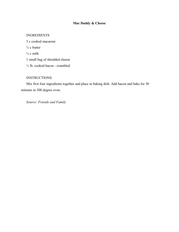# **Mac Daddy & Cheese**

### INGREDIENTS

3 c cooked macaroni  $\frac{1}{2}$  c butter  $\frac{1}{2}$  c milk 1 small bag of shredded cheese ½ lb. cooked bacon - crumbled

## **INSTRUCTIONS**

Mix first four ingredients together and place in baking dish. Add bacon and bake for 30 minutes in 300 degree oven.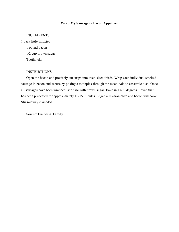# **Wrap My Sausage in Bacon Appetizer**

### INGREDIENTS

1 pack little smokies 1 pound bacon 1/2 cup brown sugar Toothpicks

### **INSTRUCTIONS**

Open the bacon and precisely cut strips into even-sized thirds. Wrap each individual smoked sausage in bacon and secure by poking a toothpick through the meat. Add to casserole dish. Once all sausages have been wrapped, sprinkle with brown sugar. Bake in a 400 degrees F oven that has been preheated for approximately 10-15 minutes. Sugar will caramelize and bacon will cook. Stir midway if needed.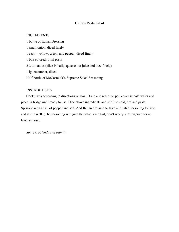### **Cutie's Pasta Salad**

### INGREDIENTS

1 bottle of Italian Dressing 1 small onion, diced finely 1 each - yellow, green, and pepper, diced finely 1 box colored rotini pasta 2-3 tomatoes (slice in half, squeeze out juice and dice finely) 1 lg. cucumber, diced Half bottle of McCormick's Supreme Salad Seasoning

#### **INSTRUCTIONS**

Cook pasta according to directions on box. Drain and return to pot, cover in cold water and place in fridge until ready to use. Dice above ingredients and stir into cold, drained pasta. Sprinkle with a tsp. of pepper and salt. Add Italian dressing to taste and salad seasoning to taste and stir in well. (The seasoning will give the salad a red tint, don't worry!) Refrigerate for at least an hour.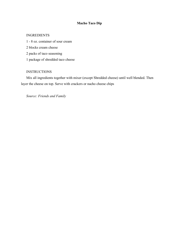# **Macho Taco Dip**

### INGREDIENTS

1 - 8 oz. container of sour cream 2 blocks cream cheese 2 packs of taco seasoning 1 package of shredded taco cheese

# **INSTRUCTIONS**

Mix all ingredients together with mixer (except Shredded cheese) until well blended. Then layer the cheese on top. Serve with crackers or nacho cheese chips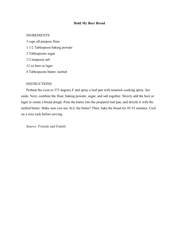### **Hold My Beer Bread**

#### INGREDIENTS

3 cups all-purpose flour 1 1/2 Tablespoon baking powder 2 Tablespoons sugar 1/2 teaspoon salt 12 oz beer or lager 4 Tablespoons butter, melted

### **INSTRUCTIONS**

Preheat the oven to 375 degrees F and spray a loaf pan with nonstick cooking spray. Set aside. Next, combine the flour, baking powder, sugar, and salt together. Slowly add the beer or lager to create a bread dough. Pour the batter into the prepared loaf pan, and drizzle it with the melted butter. Make sure you use ALL the butter! Then, bake the bread for 45-55 minutes. Cool on a wire rack before serving.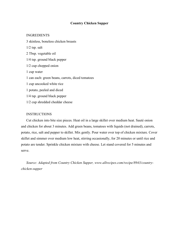### **Country Chicken Supper**

#### INGREDIENTS

3 skinless, boneless chicken breasts 1/2 tsp. salt 2 Tbsp. vegetable oil 1/4 tsp. ground black pepper 1/2 cup chopped onion 1 cup water 1 can each: green beans, carrots, diced tomatoes 1 cup uncooked white rice 1 potato, peeled and diced 1/4 tsp. ground black pepper 1/2 cup shredded cheddar cheese

### **INSTRUCTIONS**

Cut chicken into bite size pieces. Heat oil in a large skillet over medium heat. Sauté onion and chicken for about 3 minutes. Add green beans, tomatoes with liquids (not drained), carrots, potato, rice, salt and pepper to skillet. Mix gently. Pour water over top of chicken mixture. Cover skillet and simmer over medium low heat, stirring occasionally, for 20 minutes or until rice and potato are tender. Sprinkle chicken mixture with cheese. Let stand covered for 5 minutes and serve.

*Source: Adapted from Country Chicken Supper, www.allrecipes.com/recipe/8943/countrychicken-supper*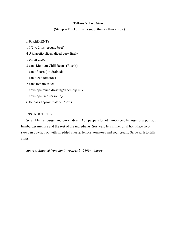### **Tiffany's Taco Stewp**

(Stewp = Thicker than a soup, thinner than a stew)

### INGREDIENTS

1 1/2 to 2 lbs. ground beef 4-5 jalapeño slices, diced very finely 1 onion diced 3 cans Medium Chili Beans (Bush's) 1 can of corn (un-drained) 1 can diced tomatoes 2 cans tomato sauce 1 envelope ranch dressing/ranch dip mix 1 envelope taco seasoning (Use cans approximately 15 oz.)

### **INSTRUCTIONS**

Scramble hamburger and onion, drain. Add peppers to hot hamburger. In large soup pot, add hamburger mixture and the rest of the ingredients. Stir well, let simmer until hot. Place taco stewp in bowls. Top with shredded cheese, lettuce, tomatoes and sour cream. Serve with tortilla chips.

*Source: Adapted from family recipes by Tiffany Carby*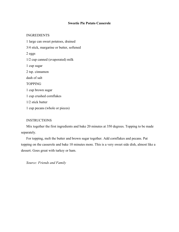### **Sweetie Pie Potato Casserole**

### INGREDIENTS

1 large can sweet potatoes, drained 3/4 stick, margarine or butter, softened 2 eggs 1/2 cup canned (evaporated) milk 1 cup sugar 2 tsp. cinnamon dash of salt TOPPING 1 cup brown sugar 1 cup crushed cornflakes 1/2 stick butter 1 cup pecans (whole or pieces)

# **INSTRUCTIONS**

Mix together the first ingredients and bake 20 minutes at 350 degrees. Topping to be made separately.

For topping, melt the butter and brown sugar together. Add cornflakes and pecans. Put topping on the casserole and bake 10 minutes more. This is a very sweet side dish, almost like a dessert. Goes great with turkey or ham.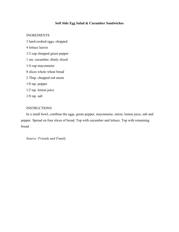# **Soft Side Egg Salad & Cucumber Sandwiches**

### INGREDIENTS

3 hard-cooked eggs, chopped 4 lettuce leaves 1/2 cup chopped green pepper 1 sm. cucumber, thinly sliced

1/4 cup mayonnaise

8 slices whole wheat bread

2 Tbsp. chopped red onion

1/8 tsp. pepper

1/2 tsp. lemon juice

1/8 tsp. salt

### **INSTRUCTIONS**

In a small bowl, combine the eggs, green pepper, mayonnaise, onion, lemon juice, salt and pepper. Spread on four slices of bread. Top with cucumber and lettuce. Top with remaining bread.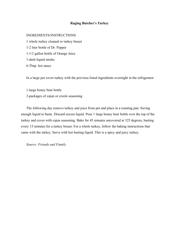#### **Raging Butcher's Turkey**

### INGREDIENTS/INSTRUCTIONS

1 whole turkey cleaned or turkey breast 1-2 liter bottle of Dr. Pepper 1-1/2 gallon bottle of Orange Juice 1-dash liquid smoke 6-Tbsp. hot sauce

In a large pot cover turkey with the previous listed ingredients overnight in the refrigerator.

1-large honey bear bottle 2-packages of cajun or creole seasoning

The following day remove turkey and juice from pot and place in a roasting pan. Saving enough liquid to baste. Discard excess liquid. Pour 1 large honey bear bottle over the top of the turkey and cover with cajun seasoning. Bake for 45 minutes uncovered at 325 degrees, basting every 15 minutes for a turkey breast. For a whole turkey, follow the baking instructions that came with the turkey. Serve with hot basting liquid. This is a spicy and juicy turkey.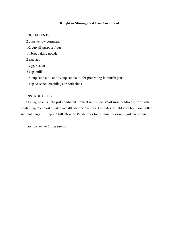# **Knight in Shining Cast Iron Cornbread**

### INGREDIENTS

2 cups yellow cornmeal 1/2 cup all-purpose flour 1 Tbsp. baking powder 2 tsp. salt 1 egg, beaten 2 cups milk  $1/4$  cup canola oil and  $\frac{1}{4}$  cup canola oil for preheating in muffin pans. 1 cup seasoned cracklings or pork rinds

### **INSTRUCTIONS**

Stir ingredients until just combined. Preheat muffin pans/cast iron molds/cast iron skillet containing ¼ cup oil divided in a 400 degree oven for 3 minutes or until very hot. Pour batter into hot pan(s), filling 2/3 full. Bake at 350 degrees for 30 minutes or until golden brown.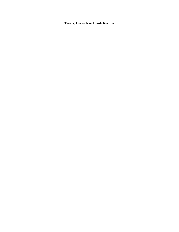**Treats, Desserts & Drink Recipes**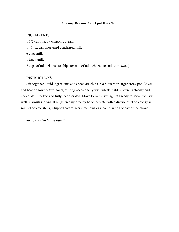## **Creamy Dreamy Crockpot Hot Choc**

### INGREDIENTS

- 1 1/2 cups heavy whipping cream
- 1 14oz can sweetened condensed milk

6 cups milk

1 tsp. vanilla

2 cups of milk chocolate chips (or mix of milk chocolate and semi-sweet)

### **INSTRUCTIONS**

Stir together liquid ingredients and chocolate chips in a 5-quart or larger crock pot. Cover and heat on low for two hours, stirring occasionally with whisk, until mixture is steamy and chocolate is melted and fully incorporated. Move to warm setting until ready to serve then stir well. Garnish individual mugs creamy dreamy hot chocolate with a drizzle of chocolate syrup, mini chocolate ships, whipped cream, marshmallows or a combination of any of the above.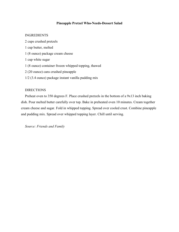### **Pineapple Pretzel Who-Needs-Dessert Salad**

### INGREDIENTS

- 2 cups crushed pretzels
- 1 cup butter, melted
- 1 (8 ounce) package cream cheese
- 1 cup white sugar
- 1 (8 ounce) container frozen whipped topping, thawed
- 2 (20 ounce) cans crushed pineapple
- 1/2 (3.4 ounce) package instant vanilla pudding mix

# DIRECTIONS

Preheat oven to 350 degrees F. Place crushed pretzels in the bottom of a 9x13 inch baking dish. Pour melted butter carefully over top. Bake in preheated oven 10 minutes. Cream together cream cheese and sugar. Fold in whipped topping. Spread over cooled crust. Combine pineapple and pudding mix. Spread over whipped topping layer. Chill until serving.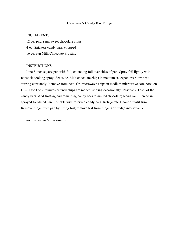### **Casanova's Candy Bar Fudge**

### INGREDIENTS

12-oz. pkg. semi-sweet chocolate chips 4-oz. Snickers candy bars, chopped 16-oz. can Milk Chocolate Frosting

#### **INSTRUCTIONS**

Line 8-inch square pan with foil, extending foil over sides of pan. Spray foil lightly with nonstick cooking spray. Set aside. Melt chocolate chips in medium saucepan over low heat, stirring constantly. Remove from heat. Or, microwave chips in medium microwave-safe bowl on HIGH for 1 to 2 minutes or until chips are melted, stirring occasionally. Reserve 2 Tbsp. of the candy bars. Add frosting and remaining candy bars to melted chocolate; blend well. Spread in sprayed foil-lined pan. Sprinkle with reserved candy bars. Refrigerate 1 hour or until firm. Remove fudge from pan by lifting foil; remove foil from fudge. Cut fudge into squares.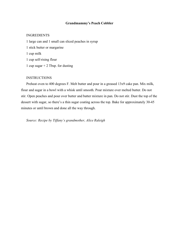### **Grandmammy's Peach Cobbler**

# INGREDIENTS

1 large can and 1 small can sliced peaches in syrup 1 stick butter or margarine 1 cup milk 1 cup self-rising flour 1 cup sugar  $+ 2$  Tbsp. for dusting

# INSTRUCTIONS

Preheat oven to 400 degrees F. Melt butter and pour in a greased 13x9 cake pan. Mix milk, flour and sugar in a bowl with a whisk until smooth. Pour mixture over melted butter. Do not stir. Open peaches and pour over butter and batter mixture in pan. Do not stir. Dust the top of the dessert with sugar, so there's a thin sugar coating across the top. Bake for approximately 30-45 minutes or until brown and done all the way through.

*Source: Recipe by Tiffany's grandmother, Alice Raleigh*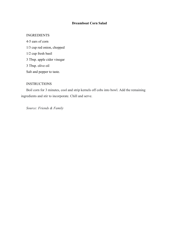# **Dreamboat Corn Salad**

### INGREDIENTS

4-5 ears of corn 1/3 cup red onion, chopped 1/2 cup fresh basil 3 Tbsp. apple cider vinegar 3 Tbsp. olive oil Salt and pepper to taste.

# **INSTRUCTIONS**

Boil corn for 3 minutes, cool and strip kernels off cobs into bowl. Add the remaining ingredients and stir to incorporate. Chill and serve.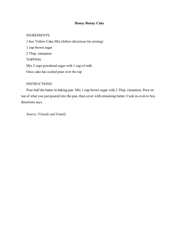# **Honey Bunny Cake**

# INGREDIENTS

1 box Yellow Cake Mix (follow directions for mixing) 1 cup brown sugar 2 Tbsp. cinnamon TOPPING Mix 2 cups powdered sugar with 1 cup of milk Once cake has cooled pour over the top

# **INSTRUCTIONS**

Pour half the batter in baking pan. Mix 1 cup brown sugar with 2 Tbsp. cinnamon. Pour on top of what you just poured into the pan, then cover with remaining batter. Cook in oven to box directions says.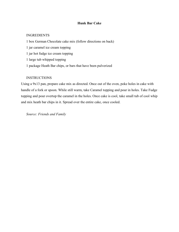# **Hunk Bar Cake**

# INGREDIENTS

- 1 box German Chocolate cake mix (follow directions on back)
- 1 jar caramel ice cream topping
- 1 jar hot fudge ice cream topping
- 1 large tub whipped topping
- 1 package Heath Bar chips, or bars that have been pulverized

# **INSTRUCTIONS**

Using a 9x13 pan, prepare cake mix as directed. Once out of the oven, poke holes in cake with handle of a fork or spoon. While still warm, take Caramel topping and pour in holes. Take Fudge topping and pour overtop the caramel in the holes. Once cake is cool, take small tub of cool whip and mix heath bar chips in it. Spread over the entire cake, once cooled.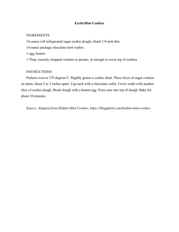# **ExciteMint Cookies**

# INGREDIENTS

18-ounce roll refrigerated sugar cookie dough; sliced 1/4-inch thin 14-ounce package chocolate mint wafers 1 egg, beaten 1 Tbsp. coarsely chopped walnuts or pecans, or enough to cover top of cookies

# **INSTRUCTIONS**

Preheat oven to 375 degrees F. Slightly grease a cookie sheet. Place slices of sugar cookies on sheet, about 2 to 3 inches apart. Top each with a chocolate wafer. Cover wafer with another slice of cookie dough. Brush dough with a beaten egg. Press nuts into top of dough. Bake for about 10 minutes.

*Source: Adapted from Hidden Mint Cookies, https://blogghetti.com/hidden-mint-cookies*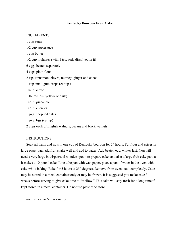### **Kentucky Bourbon Fruit Cake**

#### INGREDIENTS

1 cup sugar 1/2 cup applesauce 1 cup butter 1/2 cup molasses (with 1 tsp. soda dissolved in it) 6 eggs beaten separately 4 cups plain flour 2 tsp. cinnamon, cloves, nutmeg, ginger and cocoa 1 cup small gum drops (cut up ) 1/4 lb. citron 1 lb. raisins ( yellow or dark) 1/2 lb. pineapple 1/2 lb. cherries 1 pkg. chopped dates 1 pkg. figs (cut up)

2 cups each of English walnuts, pecans and black walnuts

#### **INSTRUCTIONS**

Soak all fruits and nuts in one cup of Kentucky bourbon for 24 hours. Put flour and spices in large paper bag, add fruit shake well and add to batter. Add beaten egg, whites last. You will need a very large bowl/pan/and wooden spoon to prepare cake, and also a large fruit cake pan, as it makes a 10 pound cake. Line tube pan with wax paper, place a pan of water in the oven with cake while baking. Bake for 5 hours at 250 degrees. Remove from oven, cool completely. Cake may be stored in a metal container only or may be frozen. It is suggested you make cake 3-4 weeks before serving to give cake time to "mellow." This cake will stay fresh for a long time if kept stored in a metal container. Do not use plastics to store.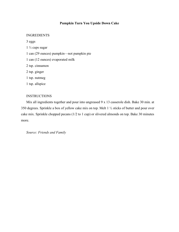# **Pumpkin Turn You Upside Down Cake**

### INGREDIENTS

3 eggs

1 ½ cups sugar

1 can (29 ounces) pumpkin—not pumpkin pie

1 can (12 ounces) evaporated milk

2 tsp. cinnamon

2 tsp. ginger

1 tsp. nutmeg

1 tsp. allspice

### **INSTRUCTIONS**

Mix all ingredients together and pour into ungreased 9 x 13 casserole dish. Bake 30 min. at 350 degrees. Sprinkle a box of yellow cake mix on top. Melt 1 ½ sticks of butter and pour over cake mix. Sprinkle chopped pecans (1/2 to 1 cup) or slivered almonds on top. Bake 30 minutes more.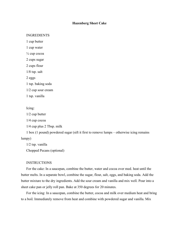### **Hazenberg Sheet Cake**

#### INGREDIENTS

1 cup butter

1 cup water

 $\frac{1}{4}$  cup cocoa

2 cups sugar

2 cups flour

1/8 tsp. salt

2 eggs

1 tsp. baking soda

1/2 cup sour cream

1 tsp. vanilla

Icing:

1/2 cup butter

1/4 cup cocoa

1/4 cup plus 2 Tbsp. milk

1 box (1 pound) powdered sugar (sift it first to remove lumps – otherwise icing remains lumpy)

1/2 tsp. vanilla Chopped Pecans (optional)

#### **INSTRUCTIONS**

For the cake: In a saucepan, combine the butter, water and cocoa over med. heat until the butter melts. In a separate bowl, combine the sugar, flour, salt, eggs, and baking soda. Add the butter mixture to the dry ingredients. Add the sour cream and vanilla and mix well. Pour into a sheet cake pan or jelly roll pan. Bake at 350 degrees for 20 minutes.

For the icing: In a saucepan, combine the butter, cocoa and milk over medium heat and bring to a boil. Immediately remove from heat and combine with powdered sugar and vanilla. Mix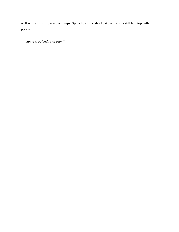well with a mixer to remove lumps. Spread over the sheet cake while it is still hot, top with pecans.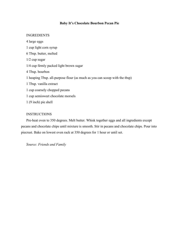# **Baby It's Chocolate Bourbon Pecan Pie**

### INGREDIENTS

4 large eggs 1 cup light corn syrup 6 Tbsp. butter, melted 1/2 cup sugar 1/4 cup firmly packed light brown sugar 4 Tbsp. bourbon 1 heaping Tbsp. all-purpose flour (as much as you can scoop with the tbsp) 1 Tbsp. vanilla extract 1 cup coarsely chopped pecans 1 cup semisweet chocolate morsels 1 (9 inch) pie shell

# **INSTRUCTIONS**

Pre-heat oven to 350 degrees. Melt butter. Whisk together eggs and all ingredients except pecans and chocolate chips until mixture is smooth. Stir in pecans and chocolate chips. Pour into piecrust. Bake on lowest oven rack at 350 degrees for 1 hour or until set.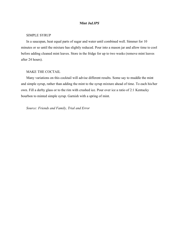#### **Mint Ju***LIPS*

#### SIMPLE SYRUP

In a saucepan, heat equal parts of sugar and water until combined well. Simmer for 10 minutes or so until the mixture has slightly reduced. Pour into a mason jar and allow time to cool before adding cleaned mint leaves. Store in the fridge for up to two weeks (remove mint leaves after 24 hours).

# MAKE THE COCTAIL

Many variations on this cocktail will advise different results. Some say to muddle the mint and simple syrup, rather than adding the mint to the syrup mixture ahead of time. To each his/her own. Fill a derby glass or to the rim with crushed ice. Pour over ice a ratio of 2:1 Kentucky bourbon to minted simple syrup. Garnish with a spring of mint.

*Source: Friends and Family, Trial and Error*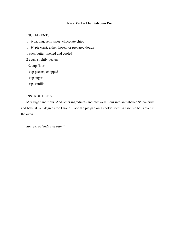# **Race Ya To The Bedroom Pie**

### INGREDIENTS

- 1 6 oz. pkg. semi-sweet chocolate chips
- 1 9" pie crust, either frozen, or prepared dough
- 1 stick butter, melted and cooled
- 2 eggs, slightly beaten
- 1/2 cup flour
- 1 cup pecans, chopped
- 1 cup sugar
- 1 tsp. vanilla

# **INSTRUCTIONS**

Mix sugar and flour. Add other ingredients and mix well. Pour into an unbaked 9" pie crust and bake at 325 degrees for 1 hour. Place the pie pan on a cookie sheet in case pie boils over in the oven.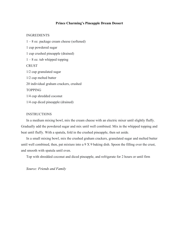### **Prince Charming's Pineapple Dream Dessert**

#### INGREDIENTS

1 – 8 oz. package cream cheese (softened) 1 cup powdered sugar 1 cup crushed pineapple (drained)  $1 - 8$  oz. tub whipped topping **CRUST** 1/2 cup granulated sugar 1/2 cup melted butter 20 individual graham crackers, crushed TOPPING 1/4 cup shredded coconut 1/4 cup diced pineapple (drained)

#### **INSTRUCTIONS**

In a medium mixing bowl, mix the cream cheese with an electric mixer until slightly fluffy. Gradually add the powdered sugar and mix until well combined. Mix in the whipped topping and beat until fluffy. With a spatula, fold in the crushed pineapple, then set aside.

In a small mixing bowl, mix the crushed graham crackers, granulated sugar and melted butter until well combined, then, pat mixture into a 9 X 9 baking dish. Spoon the filling over the crust, and smooth with spatula until even.

Top with shredded coconut and diced pineapple, and refrigerate for 2 hours or until firm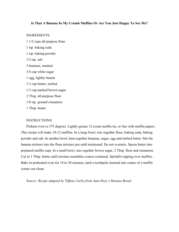#### **Is That A Banana In My Crumb Muffins Or Are You Just Happy To See Me?**

#### INGREDIENTS

1 1/2 cups all-purpose flour 1 tsp. baking soda 1 tsp. baking powder 1/2 tsp. salt 3 bananas, mashed 3/4 cup white sugar 1 egg, lightly beaten 1/3 cup butter, melted 1/3 cup packed brown sugar 2 Tbsp. all-purpose flour 1/8 tsp. ground cinnamon 1 Tbsp. butter

#### **INSTRUCTIONS**

Preheat oven to 375 degrees. Lightly grease 12-count muffin tin, or line with muffin papers. This recipe will make 10-12 muffins. In a large bowl, mix together flour, baking soda, baking powder and salt. In another bowl, beat together bananas, sugar, egg and melted butter. Stir the banana mixture into the flour mixture just until moistened. Do not overmix. Spoon batter into prepared muffin cups. In a small bowl, mix together brown sugar, 2 Tbsp. flour and cinnamon. Cut in 1 Tbsp. butter until mixture resembles coarse cornmeal. Sprinkle topping over muffins. Bake in preheated oven for 18 to 20 minutes, until a toothpick inserted into center of a muffin comes out clean.

*Source: Recipe adapted by Tiffany Carby from Aunt Sissy's Banana Bread*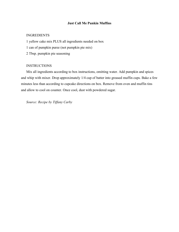# **Just Call Me Punkin Muffins**

# INGREDIENTS

1 yellow cake mix PLUS all ingredients needed on box

1 can of pumpkin puree (not pumpkin pie mix)

2 Tbsp. pumpkin pie seasoning

### **INSTRUCTIONS**

Mix all ingredients according to box instructions, omitting water. Add pumpkin and spices and whip with mixer. Drop approximately 1/4 cup of batter into greased muffin cups. Bake a few minutes less than according to cupcake directions on box. Remove from oven and muffin tins and allow to cool on counter. Once cool, dust with powdered sugar.

*Source: Recipe by Tiffany Carby*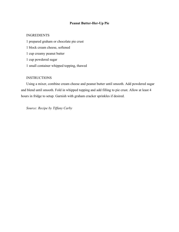# **Peanut Butter-Her-Up Pie**

# INGREDIENTS

1 prepared graham or chocolate pie crust 1 block cream cheese, softened 1 cup creamy peanut butter 1 cup powdered sugar 1 small container whipped topping, thawed

# **INSTRUCTIONS**

Using a mixer, combine cream cheese and peanut butter until smooth. Add powdered sugar and blend until smooth. Fold in whipped topping and add filling to pie crust. Allow at least 4 hours in fridge to setup. Garnish with graham cracker sprinkles if desired.

*Source: Recipe by Tiffany Carby*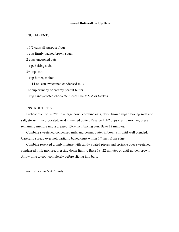### **Peanut Butter-Him Up Bars**

### INGREDIENTS

1 1/2 cups all-purpose flour 1 cup firmly packed brown sugar 2 cups uncooked oats 1 tsp. baking soda 3/4 tsp. salt 1 cup butter, melted 1 – 14 oz. can sweetened condensed milk 1/2 cup crunchy or creamy peanut butter 1 cup candy-coated chocolate pieces like M&M or Sixlets

# **INSTRUCTIONS**

Preheat oven to 375°F. In a large bowl, combine oats, flour, brown sugar, baking soda and salt, stir until incorporated. Add in melted butter. Reserve 1 1/2 cups crumb mixture; press remaining mixture into a greased 13x9-inch baking pan. Bake 12 minutes.

Combine sweetened condensed milk and peanut butter in bowl; stir until well blended. Carefully spread over hot, partially baked crust within 1/4 inch from edge.

Combine reserved crumb mixture with candy-coated pieces and sprinkle over sweetened condensed milk mixture, pressing down lightly. Bake 18- 22 minutes or until golden brown. Allow time to cool completely before slicing into bars.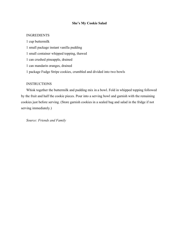### **She's My Cookie Salad**

# INGREDIENTS

1 cup buttermilk 1 small package instant vanilla pudding 1 small container whipped topping, thawed 1 can crushed pineapple, drained 1 can mandarin oranges, drained 1 package Fudge Stripe cookies, crumbled and divided into two bowls

# **INSTRUCTIONS**

Whisk together the buttermilk and pudding mix in a bowl. Fold in whipped topping followed by the fruit and half the cookie pieces. Pour into a serving bowl and garnish with the remaining cookies just before serving. (Store garnish cookies in a sealed bag and salad in the fridge if not serving immediately.)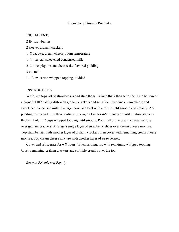#### **Strawberry Sweetie Pie Cake**

#### INGREDIENTS

2 lb. strawberries 2 sleeves graham crackers 1 -8 oz. pkg. cream cheese, room temperature 1 -14 oz. can sweetened condensed milk 2- 3.4 oz. pkg. instant cheesecake flavored pudding 3 cu. milk 1- 12 oz. carton whipped topping, divided

### INSTRUCTIONS

Wash, cut tops off of strawberries and slice them 1/4 inch thick then set aside. Line bottom of a 3-quart 13×9 baking dish with graham crackers and set aside. Combine cream cheese and sweetened condensed milk in a large bowl and beat with a mixer until smooth and creamy. Add pudding mixes and milk then continue mixing on low for 4-5 minutes or until mixture starts to thicken. Fold in 2 cups whipped topping until smooth. Pour half of the cream cheese mixture over graham crackers. Arrange a single layer of strawberry slices over cream cheese mixture. Top strawberries with another layer of graham crackers then cover with remaining cream cheese mixture. Top cream cheese mixture with another layer of strawberries.

Cover and refrigerate for 6-8 hours. When serving, top with remaining whipped topping. Crush remaining graham crackers and sprinkle crumbs over the top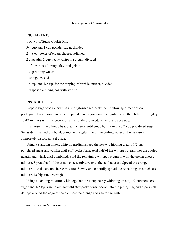#### **Dreamy-cicle Cheesecake**

# INGREDIENTS

1 pouch of Sugar Cookie Mix 3/4 cup and 1 cup powder sugar, divided 2 – 8 oz. boxes of cream cheese, softened 2 cups plus 2 cup heavy whipping cream, divided 1 - 3 oz. box of orange flavored gelatin 1 cup boiling water 1 orange, zested 1/4 tsp. and 1/2 tsp. for the topping of vanilla extract, divided 1 disposable piping bag with star tip

### INSTRUCTIONS

Prepare sugar cookie crust in a springform cheesecake pan, following directions on packaging. Press dough into the prepared pan as you would a regular crust, then bake for roughly 10-12 minutes until the cookie crust is lightly browned; remove and set aside.

In a large mixing bowl, beat cream cheese until smooth, mix in the 3/4 cup powdered sugar. Set aside. In a medium bowl, combine the gelatin with the boiling water and whisk until completely dissolved. Set aside.

Using a standing mixer, whip on medium speed the heavy whipping cream, 1/2 cup powdered sugar and vanilla until stiff peaks form. Add half of the whipped cream into the cooled gelatin and whisk until combined. Fold the remaining whipped cream in with the cream cheese mixture. Spread half of the cream cheese mixture onto the cooled crust. Spread the orange mixture onto the cream cheese mixture. Slowly and carefully spread the remaining cream cheese mixture. Refrigerate overnight.

Using a standing mixture, whip together the 1 cup heavy whipping cream, 1/2 cup powdered sugar and 1/2 tsp. vanilla extract until stiff peaks form. Scoop into the piping bag and pipe small dollops around the edge of the pie. Zest the orange and use for garnish.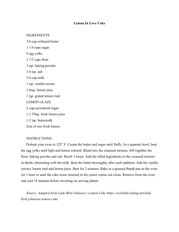### **Lemon In Love Cake**

#### INGREDIENTS

3/4 cup softened butter 1 1/4 cups sugar 8 egg yolks 2 1/2 cups flour 3 tsp. baking powder  $1/4$  tsp. salt 3/4 cup milk 1 tsp. vanilla extract 2 tbsp. lemon juice 1 tsp. grated lemon rind LEMON GLAZE 2 cups powdered sugar 1-2 Tbsp. fresh lemon juice 1-2 tsp. buttermilk Zest of one fresh lemon

#### INSTRUCTIONS

Preheat your oven to 325° F. Cream the butter and sugar until fluffy. In a separate bowl, beat the egg yolks until light and lemon colored. Blend into the creamed mixture. Sift together the flour, baking powder and salt. Resift 3 times. Add the sifted ingredients to the creamed mixture in thirds, alternating with the milk. Beat the batter thoroughly after each addition. Add the vanilla extract, lemon rind and lemon juice. Beat for 2 minutes. Bake in a greased Bundt pan in the oven for 1 hour or until the cake tester inserted in the center comes out clean. Remove from the oven and cool 19 minutes before inverting on serving platter.

*Source: Adapted from Lady Bird Johnson's Lemon Cake https://worldofcooking.net/ladybird-johnsons-lemon-cake*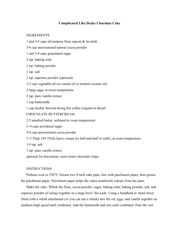# **Complicated Like Drake Chocolate Cake**

### INGREDIENTS

1 and 3/4 cups all-purpose flour (spoon & leveled)

3/4 cup unsweetened natural cocoa powder

1 and 3/4 cups granulated sugar

2 tsp. baking soda

1 tsp. baking powder

1 tsp. salt

2 tsp. espresso powder (optional)

1/2 cup vegetable oil (or canola oil or melted coconut oil)

2 large eggs, at room temperature

2 tsp. pure vanilla extract

1 cup buttermilk

1 cup freshly brewed strong hot coffee (regular or decaf)

# CHOCOLATE BUTTERCREAM

2.5 unsalted butter, softened to room temperature

3–4 cups powdered sugar

3/4 cup unsweetened cocoa powder

3–5 Tbsp. (45-75ml) heavy cream (or half-and-half or milk), at room temperature

1/4 tsp. salt

1 tsp. pure vanilla extract

optional for decoration: semi-sweet chocolate chips

#### INSTRUCTIONS

Preheat oven to 350°F. Grease two 9-inch cake pans, line with parchment paper, then grease the parchment paper. Parchment paper helps the cakes seamlessly release from the pans.

Make the cake: Whisk the flour, cocoa powder, sugar, baking soda, baking powder, salt, and espresso powder (if using) together in a large bowl. Set aside. Using a handheld or stand mixer fitted with a whisk attachment (or you can use a whisk) mix the oil, eggs, and vanilla together on medium-high speed until combined. Add the buttermilk and mix until combined. Pour the wet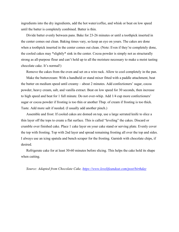ingredients into the dry ingredients, add the hot water/coffee, and whisk or beat on low speed until the batter is completely combined. Batter is thin.

Divide batter evenly between pans. Bake for 23-26 minutes or until a toothpick inserted in the center comes out clean. Baking times vary, so keep an eye on yours. The cakes are done when a toothpick inserted in the center comes out clean. (Note: Even if they're completely done, the cooled cakes may \*slightly\* sink in the center. Cocoa powder is simply not as structurally strong as all-purpose flour and can't hold up to all the moisture necessary to make a moist tasting chocolate cake. It's normal!)

Remove the cakes from the oven and set on a wire rack. Allow to cool completely in the pan.

Make the buttercream: With a handheld or stand mixer fitted with a paddle attachment, beat the butter on medium speed until creamy – about 2 minutes. Add confectioners' sugar, cocoa powder, heavy cream, salt, and vanilla extract. Beat on low speed for 30 seconds, then increase to high speed and beat for 1 full minute. Do not over-whip. Add 1/4 cup more confectioners' sugar or cocoa powder if frosting is too thin or another Tbsp. of cream if frosting is too thick. Taste. Add more salt if needed. (I usually add another pinch.)

Assemble and frost: If cooled cakes are domed on top, use a large serrated knife to slice a thin layer off the tops to create a flat surface. This is called "leveling" the cakes. Discard or crumble over finished cake. Place 1 cake layer on your cake stand or serving plate. Evenly cover the top with frosting. Top with 2nd layer and spread remaining frosting all over the top and sides. I always use an icing spatula and bench scraper for the frosting. Garnish with chocolate chips, if desired.

Refrigerate cake for at least 30-60 minutes before slicing. This helps the cake hold its shape when cutting.

*Source: Adapted from Chocolate Cake,<https://www.lovelifeandeat.com/post/birthday>*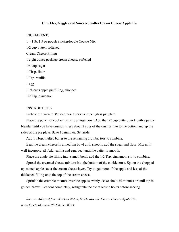### **Chuckles, Giggles and Snickerdoodles Cream Cheese Apple Pie**

#### INGREDIENTS

1 – 1 lb. 1.5 oz pouch Snickerdoodle Cookie Mix 1/2 cup butter, softened Cream Cheese Filling 1 eight ounce package cream cheese, softened 1/4 cup sugar 1 Tbsp. flour 1 Tsp. vanilla 1 egg 11/4 cups apple pie filling, chopped 1/2 Tsp. cinnamon

# **INSTRUCTIONS**

Preheat the oven to 350 degrees. Grease a 9 inch glass pie plate.

Place the pouch of cookie mix into a large bowl. Add the 1/2 cup butter, work with a pastry blender until you have crumbs. Press about 2 cups of the crumbs into to the bottom and up the sides of the pie plate. Bake 10 minutes. Set aside.

Add 1 Tbsp. melted butter to the remaining crumbs, toss to combine.

Beat the cream cheese in a medium bowl until smooth, add the sugar and flour. Mix until well incorporated. Add vanilla and egg, beat until the batter is smooth.

Place the apple pie filling into a small bowl, add the  $1/2$  Tsp. cinnamon, stir to combine.

Spread the creamed cheese mixture into the bottom of the cookie crust. Spoon the chopped up canned apples over the cream cheese layer. Try to get more of the apple and less of the thickened filling onto the top of the cream cheese.

Sprinkle the crumble mixture over the apples evenly. Bake about 35 minutes or until top is golden brown. Let cool completely, refrigerate the pie at least 3 hours before serving.

*Source: Adapted from Kitchen Witch, Snickerdoodle Cream Cheese Apple Pie, www.facebook.com/USAKitchenWitch*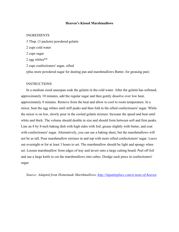#### **Heaven's Kissed Marshmallows**

#### INGREDIENTS

3 Tbsp. (3 packets) powdered gelatin 2 cups cold water 2 cups sugar 2 egg whites\*\* 2 cups confectioners' sugar, sifted (plus more powdered sugar for dusting pan and marshmallows Butter, for greasing pan)

# **INSTRUCTIONS**

In a medium sized saucepan soak the gelatin in the cold water. After the gelatin has softened, approximately 10 minutes, add the regular sugar and then gently dissolve over low heat, approximately 8 minutes. Remove from the heat and allow to cool to room temperature. In a mixer, beat the egg whites until stiff peaks and then fold in the sifted confectioners' sugar. While the mixer is on low, slowly pour in the cooled gelatin mixture. Increase the speed and beat until white and thick. The volume should double in size and should form between soft and firm peaks. Line an 8 by 8-inch baking dish with high sides with foil, grease slightly with butter, and coat with confectioners' sugar. Alternatively, you can use a baking sheet, but the marshmallows will not be as tall. Pour marshmallow mixture in and top with more sifted confectioners' sugar. Leave out overnight or for at least 3 hours to set. The marshmallow should be light and spongy when set. Loosen marshmallow from edges of tray and invert onto a large cutting board. Peel off foil and use a large knife to cut the marshmallows into cubes. Dredge each piece in confectioners' sugar.

*Source: Adapted from Homemade Marshmallows,<http://inpattisplace.com/a-taste-of-heaven>*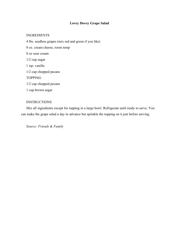# **Lovey Dovey Grape Salad**

# INGREDIENTS

4 lbs. seedless grapes (mix red and green if you like) 8 oz. cream cheese, room temp 8 oz sour cream 1/2 cup sugar 1 tsp. vanilla 1/2 cup chopped pecans TOPPING 1/2 cup chopped pecans 1 cup brown sugar

# INSTRUCTIONS

Mix all ingredients except for topping in a large bowl. Refrigerate until ready to serve. You can make the grape salad a day in advance but sprinkle the topping on it just before serving.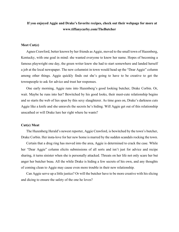# **If you enjoyed Aggie and Drake's favorite recipes, check out their webpage for more at www.tiffanycarby.com/TheButcher**

### **Meet Cut(e)**

Agnes Crawford, better known by her friends as Aggie, moved to the small town of Hazenberg, Kentucky, with one goal in mind: she wanted everyone to know her name. Hopes of becoming a famous playwright one day, the green writer knew she had to start somewhere and landed herself a job at the local newspaper. The new columnist in town would head up the "Dear Aggie" column among other things. Aggie quickly finds out she's going to have to be creative to get the townspeople to ask for advice and trust her responses.

One early morning, Aggie runs into Hazenberg's good looking butcher, Drake Corbin. Or, wait. Maybe he runs into her? Bewitched by his good looks, their meet-cute relationship begins and so starts the web of lies spun by this sexy slaughterer. As time goes on, Drake's darkness cuts Aggie like a knife and she unravels the secrets he's hiding. Will Aggie get out of this relationship unscathed or will Drake lure her right where he wants?

#### **Cut(e) Meat**

The Hazenberg Herald's newest reporter, Aggie Crawford, is bewitched by the town's butcher, Drake Corbin. Her insta-love for her new home is marred by the sudden scandals rocking the town.

Certain that a drug ring has moved into the area, Aggie is determined to crack the case. While her "Dear Aggie" column elicits submissions of all sorts and isn't just for advice and recipe sharing, it turns sinister when she is personally attacked. Threats on her life not only scare her but anger her butcher beau. All the while Drake is hiding a few secrets of his own, and any thoughts of coming clean to Aggie may cause even more trouble in their new relationship.

Can Aggie serve up a little justice? Or will the butcher have to be more creative with his slicing and dicing to ensure the safety of the one he loves?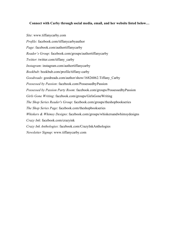# **Connect with Carby through social media, email, and her website listed below…**

*Site*: www.tiffanycarby.com *Profile*: [facebook.com/tiffanycarbyauthor](https://www.facebook.com/tiffanycarbyauthor?fref=gs&__tn__=%2CdK-R-R&eid=ARBmVr8qoyq-gSzlHEI5V_xQ1rnjIUhhh9Q8Gf7-u_wILHoBwYFvekCy05VWHPWLk96p0dY8DnQo2b3x&dti=178003985950658&hc_location=group) *Page*: [facebook.com/authortiffanycarby](https://www.facebook.com/authortiffanycarby/?ref=gs&__tn__=%2CdK-R-R&eid=ARB5mRz8Tbx1U9OAlfPiDZlrUBVgdjXCYLw7kPerzMrRuM0Rs1Fe6ogu-w0YC6DNRL0Baigaoek1ab8F&fref=gs&dti=178003985950658&hc_location=group) *Reader's Group*: [facebook.com/groups/authortiffanycarby](https://www.facebook.com/groups/authortiffanycarby/?ref=gs&fref=gs&dti=178003985950658&hc_location=group) *Twitter*: [twitter.com/tiffany\\_carby](https://twitter.com/tiffany_carby?fbclid=IwAR2nruYvpMxvnmPJ6pPdLZxlmARInvTMy2ggdPEkc4z8u0RN1umeoPFBBno) *Instagram*: [instagram.com/authortiffanycarby](https://www.instagram.com/authortiffanycarby/?fbclid=IwAR3dvzU3VJFRh7rD6KykYqgpxboe43oHU3u8QxHrpAfDevhXqKkDVIJmWLw) *Bookbub*: [bookbub.com/profile/tiffany-carby](https://www.bookbub.com/profile/tiffany-carby) *Goodreads*: [goodreads.com/author/show/16826062.Tiffany\\_Carby](https://www.goodreads.com/author/show/16826062.Tiffany_Carby) *Possessed by Passion*: facebook.com/PossessedbyPassion *Possessed by Passion Party Room*: facebook.com/groups/PossessedbyPassion *Girls Gone Writing*: facebook.com/groups/GirlsGoneWriting *The Shop Series Reader's Group*: [facebook.com/groups/theshopbookseries](https://www.facebook.com/groups/theshopbookseries/?ref=gs&fref=gs&dti=178003985950658&hc_location=group) *The Shop Series Page*: [facebook.com/theshopbookseries](https://www.facebook.com/theshopbookseries/?ref=gs&__tn__=%2CdK-R-R&eid=ARAXtk1qS7oGP2GfsV6eVGsUwcJ9AbcavM8YRimyXR7rr2DLwn4dDwfh-_dUEHG6ycjwoJ7BX16H4WH6&fref=gs&dti=178003985950658&hc_location=group) *Whiskers & Whimsy Designs*: [facebook.com/groups/w](https://www.facebook.com/groups/fierygraphics/?ref=gs&fref=gs&dti=178003985950658&hc_location=group)hiskersandwhimsydesigns *Crazy Ink*: [facebook.com/crazyink](https://www.facebook.com/Crazy.Ink?fref=gs&__tn__=%2CdK-R-R&eid=ARBQvHRQAENxKDR0scea8svfKSwELf41eVe3cooGttI-3kJw9T8Z5tjEPS73TN62RZ-lvguO3xxwIvvM&dti=178003985950658&hc_location=group) *Crazy Ink Anthologies*: [facebook.com/CrazyInkAnthologies](https://www.facebook.com/CrazyInkAnthologies/?ref=gs&__tn__=%2CdK-R-R&eid=ARCwQg7iRC8YncamT0MA95M49I-F3okVqBN0iwYDLhWCNvh_-B-F617dcToe2bSHJKH73eE99BGVLYMN&fref=gs&dti=178003985950658&hc_location=group) *Newsletter Signup*: www.tiffanycarby.com